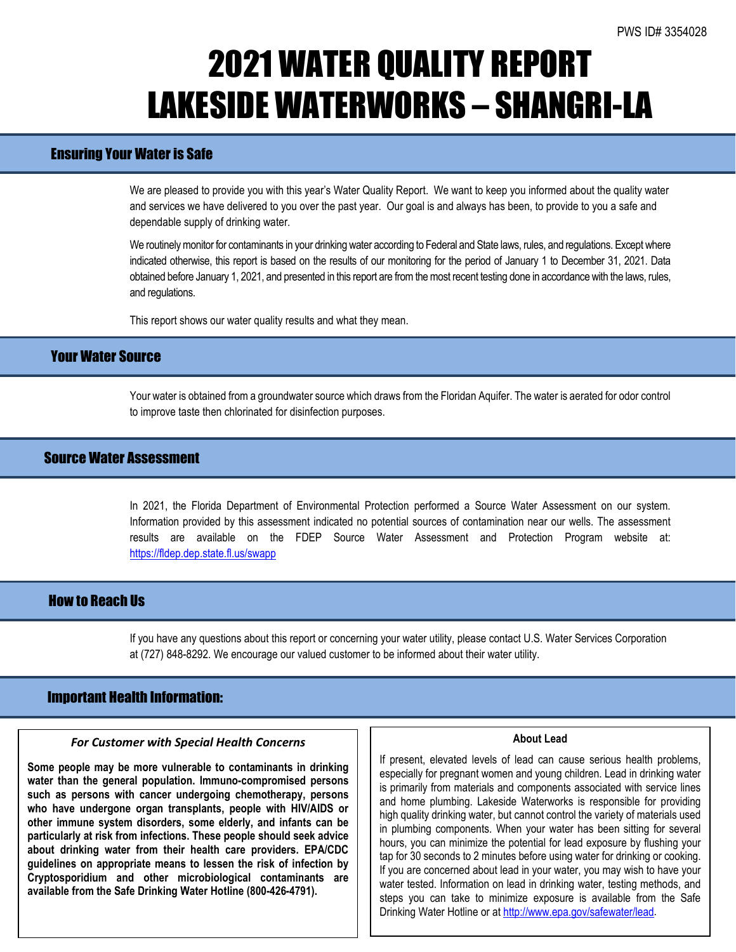## 2021 WATER QUALITY REPORT LAKESIDE WATERWORKS – SHANGRI-LA

## Ensuring Your Water is Safe

We are pleased to provide you with this year's Water Quality Report. We want to keep you informed about the quality water and services we have delivered to you over the past year. Our goal is and always has been, to provide to you a safe and dependable supply of drinking water.

We routinely monitor for contaminants in your drinking water according to Federal and State laws, rules, and regulations. Except where indicated otherwise, this report is based on the results of our monitoring for the period of January 1 to December 31, 2021. Data obtained before January 1, 2021, and presented in this report are from the most recent testing done in accordance with the laws, rules, and regulations.

This report shows our water quality results and what they mean.

### Your Water Source

Your water is obtained from a groundwater source which draws from the Floridan Aquifer. The water is aerated for odor control to improve taste then chlorinated for disinfection purposes.

## Source Water Assessment

In 2021, the Florida Department of Environmental Protection performed a Source Water Assessment on our system. Information provided by this assessment indicated no potential sources of contamination near our wells. The assessment results are available on the FDEP Source Water Assessment and Protection Program website at: <https://fldep.dep.state.fl.us/swapp>

#### How to Reach Us

If you have any questions about this report or concerning your water utility, please contact U.S. Water Services Corporation at (727) 848-8292. We encourage our valued customer to be informed about their water utility.

#### Important Health Information:

l

#### *For Customer with Special Health Concerns*

**Some people may be more vulnerable to contaminants in drinking water than the general population. Immuno-compromised persons such as persons with cancer undergoing chemotherapy, persons who have undergone organ transplants, people with HIV/AIDS or other immune system disorders, some elderly, and infants can be particularly at risk from infections. These people should seek advice about drinking water from their health care providers. EPA/CDC guidelines on appropriate means to lessen the risk of infection by Cryptosporidium and other microbiological contaminants are available from the Safe Drinking Water Hotline (800-426-4791).**

#### **About Lead**

If present, elevated levels of lead can cause serious health problems, especially for pregnant women and young children. Lead in drinking water is primarily from materials and components associated with service lines and home plumbing. Lakeside Waterworks is responsible for providing high quality drinking water, but cannot control the variety of materials used in plumbing components. When your water has been sitting for several hours, you can minimize the potential for lead exposure by flushing your tap for 30 seconds to 2 minutes before using water for drinking or cooking. If you are concerned about lead in your water, you may wish to have your water tested. Information on lead in drinking water, testing methods, and steps you can take to minimize exposure is available from the Safe Drinking Water Hotline or at [http://www.epa.gov/safewater/lead.](http://www.epa.gov/safewater/lead)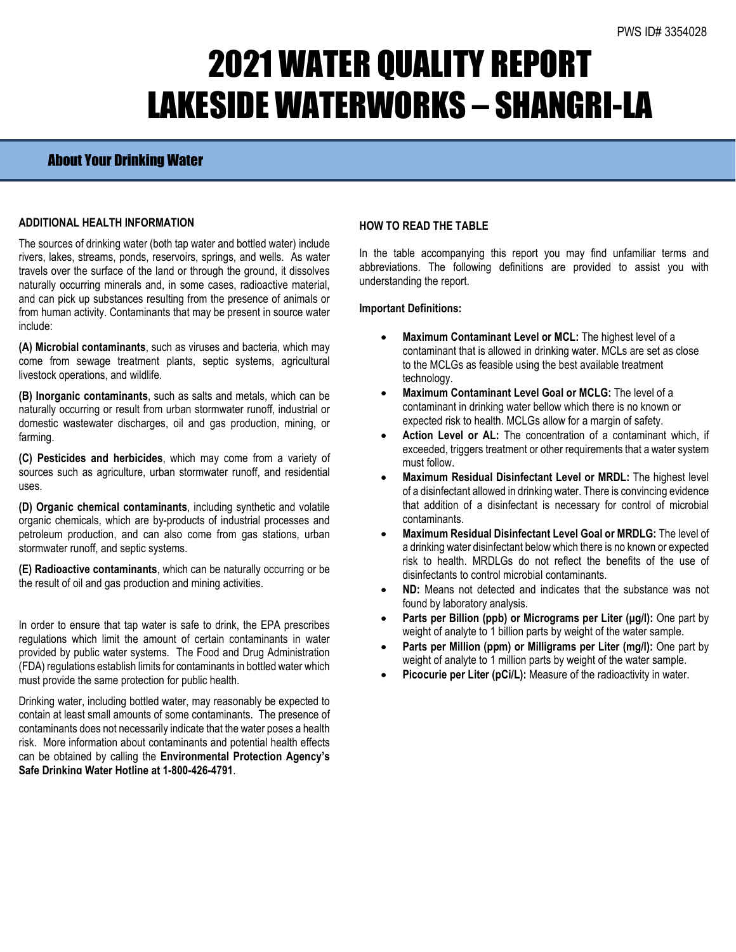# 2021 WATER QUALITY REPORT LAKESIDE WATERWORKS – SHANGRI-LA

## About Your Drinking Water

#### **ADDITIONAL HEALTH INFORMATION**

The sources of drinking water (both tap water and bottled water) include rivers, lakes, streams, ponds, reservoirs, springs, and wells. As water travels over the surface of the land or through the ground, it dissolves naturally occurring minerals and, in some cases, radioactive material, and can pick up substances resulting from the presence of animals or from human activity. Contaminants that may be present in source water include:

**(A) Microbial contaminants**, such as viruses and bacteria, which may come from sewage treatment plants, septic systems, agricultural livestock operations, and wildlife.

**(B) Inorganic contaminants**, such as salts and metals, which can be naturally occurring or result from urban stormwater runoff, industrial or domestic wastewater discharges, oil and gas production, mining, or farming.

**(C) Pesticides and herbicides**, which may come from a variety of sources such as agriculture, urban stormwater runoff, and residential uses.

**(D) Organic chemical contaminants**, including synthetic and volatile organic chemicals, which are by-products of industrial processes and petroleum production, and can also come from gas stations, urban stormwater runoff, and septic systems.

**(E) Radioactive contaminants**, which can be naturally occurring or be the result of oil and gas production and mining activities.

In order to ensure that tap water is safe to drink, the EPA prescribes regulations which limit the amount of certain contaminants in water provided by public water systems. The Food and Drug Administration (FDA) regulations establish limits for contaminants in bottled water which must provide the same protection for public health.

Drinking water, including bottled water, may reasonably be expected to contain at least small amounts of some contaminants. The presence of contaminants does not necessarily indicate that the water poses a health risk. More information about contaminants and potential health effects can be obtained by calling the **Environmental Protection Agency's Safe Drinking Water Hotline at 1-800-426-4791**.

#### **HOW TO READ THE TABLE**

In the table accompanying this report you may find unfamiliar terms and abbreviations. The following definitions are provided to assist you with understanding the report.

#### **Important Definitions:**

- **Maximum Contaminant Level or MCL:** The highest level of a contaminant that is allowed in drinking water. MCLs are set as close to the MCLGs as feasible using the best available treatment technology.
- **Maximum Contaminant Level Goal or MCLG:** The level of a contaminant in drinking water bellow which there is no known or expected risk to health. MCLGs allow for a margin of safety.
- Action Level or AL: The concentration of a contaminant which, if exceeded, triggers treatment or other requirements that a water system must follow.
- **Maximum Residual Disinfectant Level or MRDL:** The highest level of a disinfectant allowed in drinking water. There is convincing evidence that addition of a disinfectant is necessary for control of microbial contaminants.
- **Maximum Residual Disinfectant Level Goal or MRDLG:** The level of a drinking water disinfectant below which there is no known or expected risk to health. MRDLGs do not reflect the benefits of the use of disinfectants to control microbial contaminants.
- **ND:** Means not detected and indicates that the substance was not found by laboratory analysis.
- **Parts per Billion (ppb) or Micrograms per Liter (μg/l):** One part by weight of analyte to 1 billion parts by weight of the water sample.
- **Parts per Million (ppm) or Milligrams per Liter (mg/l):** One part by weight of analyte to 1 million parts by weight of the water sample.
- Picocurie per Liter (pCi/L): Measure of the radioactivity in water.